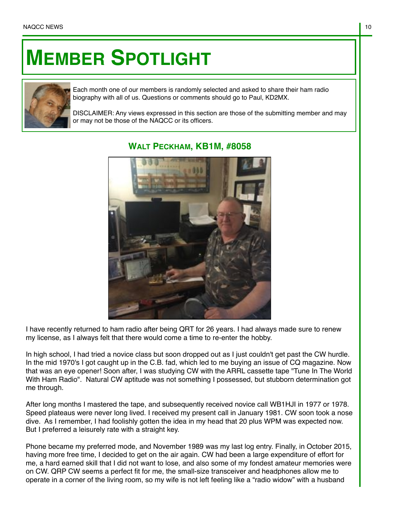## **MEMBER SPOTLIGHT**



Each month one of our members is randomly selected and asked to share their ham radio biography with all of us. Questions or comments should go to Paul, KD2MX.

DISCLAIMER: Any views expressed in this section are those of the submitting member and may or may not be those of the NAQCC or its officers.



## **WALT PECKHAM, KB1M, #8058**

I have recently returned to ham radio after being QRT for 26 years. I had always made sure to renew my license, as I always felt that there would come a time to re-enter the hobby.

In high school, I had tried a novice class but soon dropped out as I just couldn't get past the CW hurdle. In the mid 1970's I got caught up in the C.B. fad, which led to me buying an issue of CQ magazine. Now that was an eye opener! Soon after, I was studying CW with the ARRL cassette tape "Tune In The World With Ham Radio". Natural CW aptitude was not something I possessed, but stubborn determination got me through.

After long months I mastered the tape, and subsequently received novice call WB1HJI in 1977 or 1978. Speed plateaus were never long lived. I received my present call in January 1981. CW soon took a nose dive. As I remember, I had foolishly gotten the idea in my head that 20 plus WPM was expected now. But I preferred a leisurely rate with a straight key.

Phone became my preferred mode, and November 1989 was my last log entry. Finally, in October 2015, having more free time, I decided to get on the air again. CW had been a large expenditure of effort for me, a hard earned skill that I did not want to lose, and also some of my fondest amateur memories were on CW. QRP CW seems a perfect fit for me, the small-size transceiver and headphones allow me to operate in a corner of the living room, so my wife is not left feeling like a "radio widow" with a husband